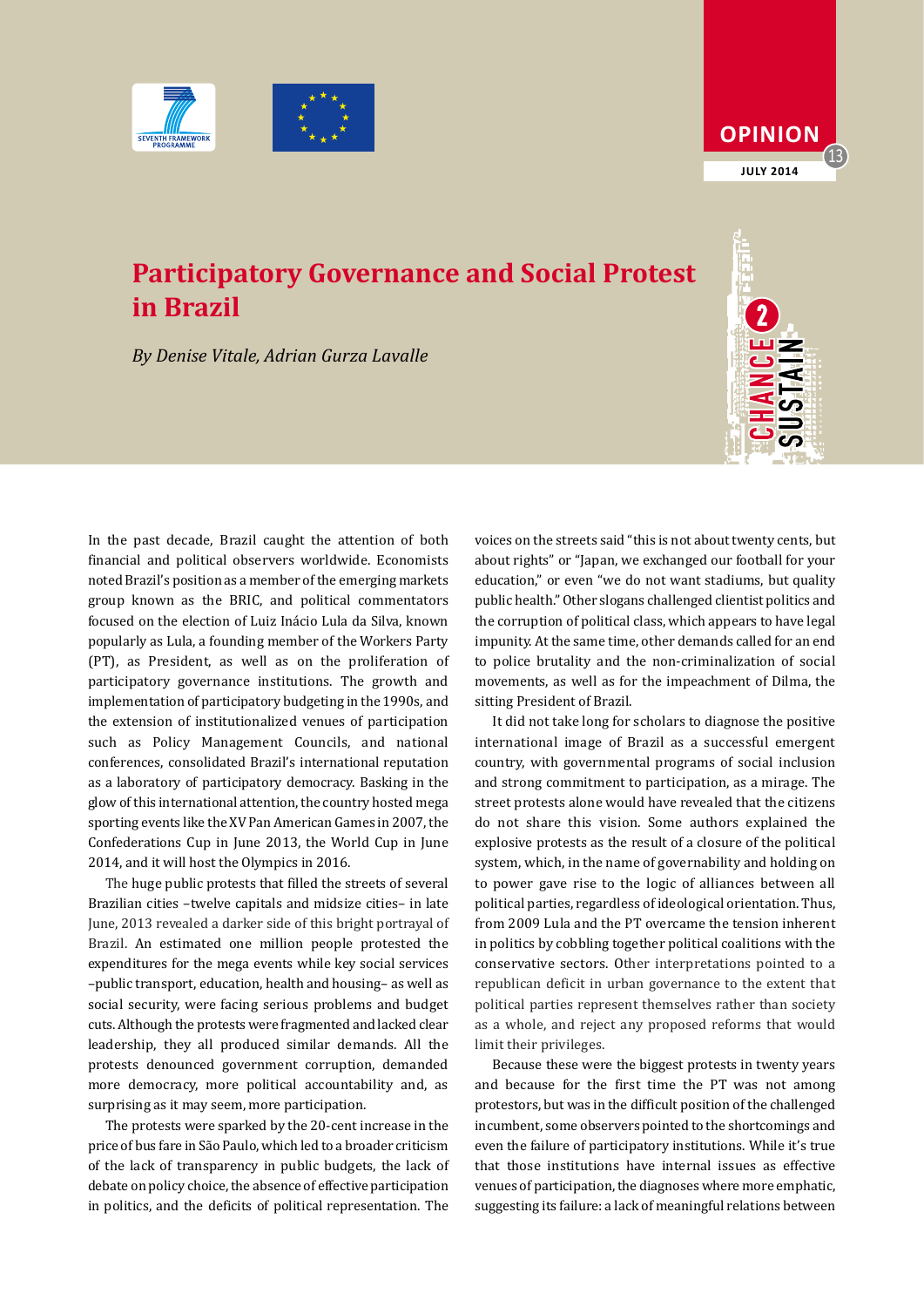



## **Participatory Governance and Social Protest in Brazil**

*By Denise Vitale, Adrian Gurza Lavalle*

In the past decade, Brazil caught the attention of both financial and political observers worldwide. Economists noted Brazil's position as a member of the emerging markets group known as the BRIC, and political commentators focused on the election of Luiz Inácio Lula da Silva, known popularly as Lula, a founding member of the Workers Party (PT), as President, as well as on the proliferation of participatory governance institutions. The growth and implementation of participatory budgeting in the 1990s, and the extension of institutionalized venues of participation such as Policy Management Councils, and national conferences, consolidated Brazil's international reputation as a laboratory of participatory democracy. Basking in the glow of this international attention, the country hosted mega sporting events like the XV Pan American Games in 2007, the Confederations Cup in June 2013, the World Cup in June 2014, and it will host the Olympics in 2016.

The huge public protests that filled the streets of several Brazilian cities –twelve capitals and midsize cities– in late June, 2013 revealed a darker side of this bright portrayal of Brazil. An estimated one million people protested the expenditures for the mega events while key social services –public transport, education, health and housing– as well as social security, were facing serious problems and budget cuts. Although the protests were fragmented and lacked clear leadership, they all produced similar demands. All the protests denounced government corruption, demanded more democracy, more political accountability and, as surprising as it may seem, more participation.

The protests were sparked by the 20-cent increase in the price of bus fare in São Paulo, which led to a broader criticism of the lack of transparency in public budgets, the lack of debate on policy choice, the absence of effective participation in politics, and the deficits of political representation. The

voices on the streets said "this is not about twenty cents, but about rights" or "Japan, we exchanged our football for your education," or even "we do not want stadiums, but quality public health." Other slogans challenged clientist politics and the corruption of political class, which appears to have legal impunity. At the same time, other demands called for an end to police brutality and the non-criminalization of social movements, as well as for the impeachment of Dilma, the sitting President of Brazil.

It did not take long for scholars to diagnose the positive international image of Brazil as a successful emergent country, with governmental programs of social inclusion and strong commitment to participation, as a mirage. The street protests alone would have revealed that the citizens do not share this vision. Some authors explained the explosive protests as the result of a closure of the political system, which, in the name of governability and holding on to power gave rise to the logic of alliances between all political parties, regardless of ideological orientation. Thus, from 2009 Lula and the PT overcame the tension inherent in politics by cobbling together political coalitions with the conservative sectors. Other interpretations pointed to a republican deficit in urban governance to the extent that political parties represent themselves rather than society as a whole, and reject any proposed reforms that would limit their privileges.

Because these were the biggest protests in twenty years and because for the first time the PT was not among protestors, but was in the difficult position of the challenged incumbent, some observers pointed to the shortcomings and even the failure of participatory institutions. While it's true that those institutions have internal issues as effective venues of participation, the diagnoses where more emphatic, suggesting its failure: a lack of meaningful relations between